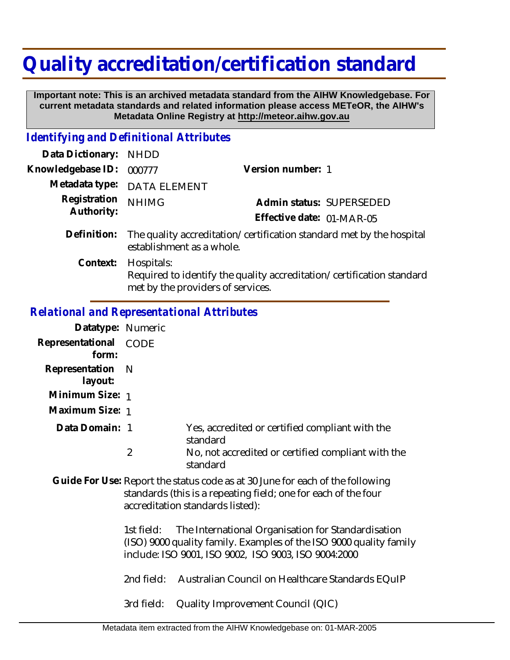## **Quality accreditation/certification standard**

 **Important note: This is an archived metadata standard from the AIHW Knowledgebase. For current metadata standards and related information please access METeOR, the AIHW's Metadata Online Registry at http://meteor.aihw.gov.au**

## *Identifying and Definitional Attributes*

| Data Dictionary: NHDD      |                                                                                                   |                                                                       |  |
|----------------------------|---------------------------------------------------------------------------------------------------|-----------------------------------------------------------------------|--|
| Knowledgebase ID:          | 000777                                                                                            | Version number: 1                                                     |  |
| Metadata type:             | <b>DATA ELEMENT</b>                                                                               |                                                                       |  |
| Registration<br>Authority: | <b>NHIMG</b>                                                                                      | Admin status: SUPERSEDED                                              |  |
|                            |                                                                                                   | Effective date: 01-MAR-05                                             |  |
| Definition:                | The quality accreditation/certification standard met by the hospital<br>establishment as a whole. |                                                                       |  |
| Context:                   | Hospitals:<br>met by the providers of services.                                                   | Required to identify the quality accreditation/certification standard |  |

## *Relational and Representational Attributes*

| Datatype: Numeric                                                                                                                                                                   |            |                                                                                                                                                                                  |
|-------------------------------------------------------------------------------------------------------------------------------------------------------------------------------------|------------|----------------------------------------------------------------------------------------------------------------------------------------------------------------------------------|
| Representational CODE<br>form:                                                                                                                                                      |            |                                                                                                                                                                                  |
| Representation<br>layout:                                                                                                                                                           | - N        |                                                                                                                                                                                  |
| Minimum Size: 1                                                                                                                                                                     |            |                                                                                                                                                                                  |
| Maximum Size: 1                                                                                                                                                                     |            |                                                                                                                                                                                  |
| Data Domain: 1                                                                                                                                                                      |            | Yes, accredited or certified compliant with the<br>standard                                                                                                                      |
|                                                                                                                                                                                     | 2          | No, not accredited or certified compliant with the<br>standard                                                                                                                   |
| Guide For Use: Report the status code as at 30 June for each of the following<br>standards (this is a repeating field; one for each of the four<br>accreditation standards listed): |            |                                                                                                                                                                                  |
|                                                                                                                                                                                     | 1st field: | The International Organisation for Standardisation<br>(ISO) 9000 quality family. Examples of the ISO 9000 quality family<br>include: ISO 9001, ISO 9002, ISO 9003, ISO 9004:2000 |

2nd field: Australian Council on Healthcare Standards EQuIP

3rd field: Quality Improvement Council (QIC)